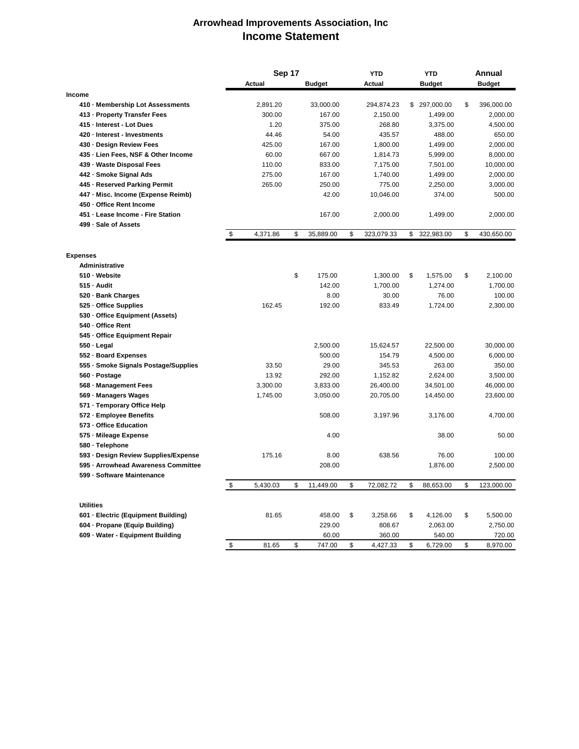## **Arrowhead Improvements Association, Inc Income Statement**

|                                      | Sep 17 |               |    | YTD           | <b>YTD</b>       |    | Annual        |    |               |
|--------------------------------------|--------|---------------|----|---------------|------------------|----|---------------|----|---------------|
|                                      |        | <b>Actual</b> |    | <b>Budget</b> | Actual           |    | <b>Budget</b> |    | <b>Budget</b> |
| Income                               |        |               |    |               |                  |    |               |    |               |
| 410 - Membership Lot Assessments     |        | 2,891.20      |    | 33,000.00     | 294,874.23       |    | \$ 297,000.00 | \$ | 396,000.00    |
| 413 - Property Transfer Fees         |        | 300.00        |    | 167.00        | 2,150.00         |    | 1,499.00      |    | 2,000.00      |
| 415 - Interest - Lot Dues            |        | 1.20          |    | 375.00        | 268.80           |    | 3,375.00      |    | 4,500.00      |
| 420 - Interest - Investments         |        | 44.46         |    | 54.00         | 435.57           |    | 488.00        |    | 650.00        |
| 430 - Design Review Fees             |        | 425.00        |    | 167.00        | 1,800.00         |    | 1,499.00      |    | 2,000.00      |
| 435 - Lien Fees, NSF & Other Income  |        | 60.00         |    | 667.00        | 1,814.73         |    | 5,999.00      |    | 8,000.00      |
| 439 - Waste Disposal Fees            |        | 110.00        |    | 833.00        | 7,175.00         |    | 7,501.00      |    | 10,000.00     |
| 442 - Smoke Signal Ads               |        | 275.00        |    | 167.00        | 1,740.00         |    | 1,499.00      |    | 2,000.00      |
| 445 - Reserved Parking Permit        |        | 265.00        |    | 250.00        | 775.00           |    | 2,250.00      |    | 3,000.00      |
| 447 - Misc. Income (Expense Reimb)   |        |               |    | 42.00         | 10,046.00        |    | 374.00        |    | 500.00        |
| 450 - Office Rent Income             |        |               |    |               |                  |    |               |    |               |
| 451 - Lease Income - Fire Station    |        |               |    | 167.00        | 2,000.00         |    | 1,499.00      |    | 2,000.00      |
| 499 - Sale of Assets                 |        |               |    |               |                  |    |               |    |               |
|                                      | \$     | 4,371.86      | \$ | 35,889.00     | \$<br>323,079.33 | \$ | 322,983.00    | \$ | 430,650.00    |
| <b>Expenses</b>                      |        |               |    |               |                  |    |               |    |               |
| <b>Administrative</b>                |        |               |    |               |                  |    |               |    |               |
| 510 - Website                        |        |               | \$ | 175.00        | 1,300.00         | \$ | 1,575.00      | \$ | 2,100.00      |
| 515 - Audit                          |        |               |    | 142.00        | 1,700.00         |    | 1,274.00      |    | 1,700.00      |
| 520 - Bank Charges                   |        |               |    | 8.00          | 30.00            |    | 76.00         |    | 100.00        |
| 525 - Office Supplies                |        | 162.45        |    | 192.00        | 833.49           |    | 1,724.00      |    | 2,300.00      |
| 530 - Office Equipment (Assets)      |        |               |    |               |                  |    |               |    |               |
| 540 - Office Rent                    |        |               |    |               |                  |    |               |    |               |
| 545 - Office Equipment Repair        |        |               |    |               |                  |    |               |    |               |
| 550 - Legal                          |        |               |    | 2,500.00      | 15,624.57        |    | 22,500.00     |    | 30,000.00     |
| 552 - Board Expenses                 |        |               |    | 500.00        | 154.79           |    | 4,500.00      |    | 6,000.00      |
| 555 · Smoke Signals Postage/Supplies |        | 33.50         |    | 29.00         | 345.53           |    | 263.00        |    | 350.00        |
| 560 - Postage                        |        | 13.92         |    | 292.00        | 1,152.82         |    | 2,624.00      |    | 3,500.00      |
| 568 - Management Fees                |        | 3,300.00      |    | 3,833.00      | 26,400.00        |    | 34,501.00     |    | 46,000.00     |
| 569 - Managers Wages                 |        | 1,745.00      |    | 3,050.00      | 20,705.00        |    | 14,450.00     |    | 23,600.00     |
| 571 - Temporary Office Help          |        |               |    |               |                  |    |               |    |               |
| 572 - Employee Benefits              |        |               |    | 508.00        | 3,197.96         |    | 3,176.00      |    | 4.700.00      |
| 573 - Office Education               |        |               |    |               |                  |    |               |    |               |
| 575 - Mileage Expense                |        |               |    | 4.00          |                  |    | 38.00         |    | 50.00         |
| 580 - Telephone                      |        |               |    |               |                  |    |               |    |               |
| 593 - Design Review Supplies/Expense |        | 175.16        |    | 8.00          | 638.56           |    | 76.00         |    | 100.00        |
| 595 - Arrowhead Awareness Committee  |        |               |    | 208.00        |                  |    |               |    | 2,500.00      |
| 599 - Software Maintenance           |        |               |    |               |                  |    | 1,876.00      |    |               |
|                                      | \$     | 5,430.03      | \$ | 11,449.00     | \$<br>72,082.72  | \$ | 88,653.00     | \$ | 123,000.00    |
| <b>Utilities</b>                     |        |               |    |               |                  |    |               |    |               |
| 601 - Electric (Equipment Building)  |        | 81.65         |    | 458.00        | \$<br>3,258.66   | \$ | 4,126.00      | \$ | 5,500.00      |
| 604 - Propane (Equip Building)       |        |               |    | 229.00        | 808.67           |    | 2,063.00      |    | 2,750.00      |
| 609 - Water - Equipment Building     |        |               |    | 60.00         | 360.00           |    | 540.00        |    | 720.00        |
|                                      | \$     | 81.65         | \$ | 747.00        | \$<br>4,427.33   | \$ | 6,729.00      | \$ | 8,970.00      |
|                                      |        |               |    |               |                  |    |               |    |               |